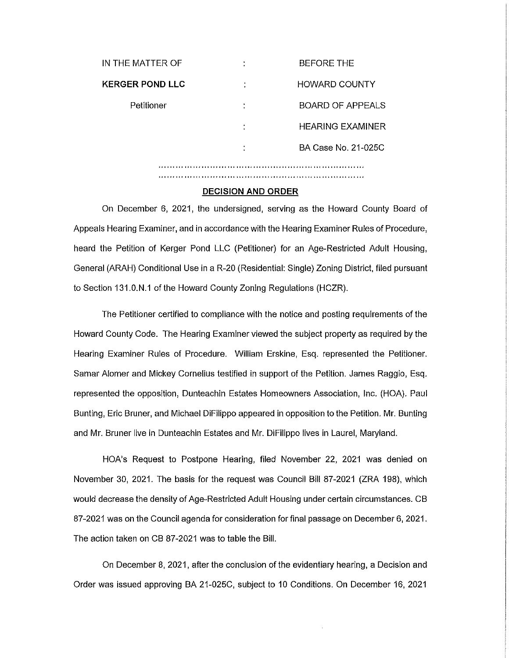| IN THE MATTER OF       | ٠ | <b>BEFORE THE</b>       |
|------------------------|---|-------------------------|
| <b>KERGER POND LLC</b> | ٠ | HOWARD COUNTY           |
| Petitioner             | ٠ | <b>BOARD OF APPEALS</b> |
|                        | ٠ | <b>HEARING EXAMINER</b> |
|                        | ٠ | BA Case No. 21-025C     |
|                        |   |                         |
|                        |   |                         |

#### DECISION AND ORDER

On December 6, 2021, the undersigned, serving as the Howard County Board of Appeals Hearing Examiner, and in accordance with the Hearing Examiner Rules of Procedure, heard the Petition of Kerger Pond LLC (Petitioner) for an Age-Restricted Aduit Housing, General (ARAH) Conditional Use in a R-20 (Residential: Single) Zoning District, filed pursuant to Section 131, 0.N.1 of the Howard County Zoning Regulations (HCZR).

The Petitioner certified to compliance with the notice and posting requirements of the Howard County Code. The Hearing Examiner viewed the subject property as required by the Hearing Examiner Rules of Procedure. William Erskine, Esq. represented the Petitioner. Samar Aiomer and Mickey Cornelius testified in support of the Petition. James Raggio, Esq. represented the opposition, Dunteachin Estates Homeowners Association, Inc. (HOA). Paul Bunting, Erie Bruner, and Michael DiFihppo appeared In opposition to the Petition, Mr. Bunting and Mr. Bruner live in Dunteachin Estates and Mr. DiFiiippo lives in Laurel, Maryland.

HOA's Request to Postpone Hearing, filed November 22, 2021 was denied on November 30, 2021. The basis for the request was Council Bill 87-2021 (ZRA 198), which would decrease the density of Age-Restricted Adult Housing under certain circumstances. CB 87-2021 was on the Council agenda for consideration for final passage on December 6, 2021 . The action taken on CB 87-2021 was to tabie the Bill.

On December 8, 2021, after the conclusion of the evidentiary hearing, a Decision and Order was issued approving BA 21-025C, subject to 10 Conditions. On December 16, 2021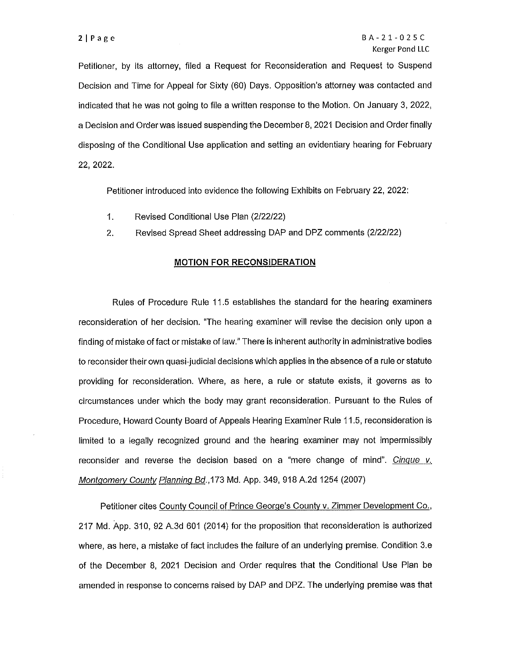Petitioner, by its attorney, filed a Request for Reconsideration and Request to Suspend Decision and Time for Appeal for Sixty (60) Days. Opposition's attorney was contacted and indicated that he was not going to file a written response to the Motion. On January 3. 2022, a Decision and Order was issued suspending the December 8, 2021 Decision and Order finally disposing of the Conditional Use application and setting an evidentiary hearing for February 22,2022.

Petitioner introduced into evidence the following Exhibits on February 22, 2022:

- 1. Revised Conditional Use Plan (2/22/22)
- 2. Revised Spread Sheet addressing DAP and DPZ comments (2/22/22)

#### **MOTION FOR RECONSIDERATION**

Rules of Procedure Rule 11.5 establishes the standard for the hearing examiners reconsideration of her decision. "The hearing examiner will revise the decision only upon a finding of mistake of fact or mistake of law." There is inherent authority in administrative bodies to reconsider their own quasi-judicial decisions which applies in the absence of a rule or statute providing for reconsideration. Where, as here, a rule or statute exists, it governs as to circumstances under which the body may grant reconsideration. Pursuant to the Rules of Procedure, Howard County Board of Appeals Hearing Examiner Rule 11.5, reconsideration is limited to a legally recognized ground and the hearing examiner may not impermissibly reconsider and reverse the decision based on a "mere change of mind". Cinque  $v$ . Montgomery County Planning Bd.,173 Md. App. 349, 918 A.2d 1254 (2007)

Petitioner cites County Councii of Prince George's County v. Zimmer Development Co., 217 Md. App. 310, 92 A.3d 601 (2014) for the proposition that reconsideration is authorized where, as here, a mistake of fact includes the failure of an underlying premise. Condition 3.e of the December 8, 2021 Decision and Order requires that the Conditional Use Plan be amended in response to concerns raised by DAP and DPZ. The underlying premise was that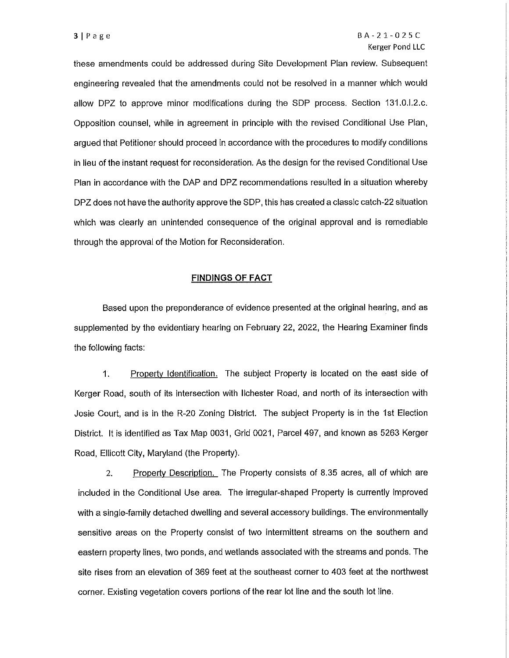# $3|Page$ <br>BA-21-025C Kerger Pond LLC

these amendments couid be addressed during Site Development Plan review. Subsequent engineering revealed that the amendments could not be resolved in a manner which would allow DP2 to approve minor modifications during the SDP process. Section 131.0.1.2.0. Opposition counsel, while in agreement in principle with the revised Conditional Use Plan, argued that Petitioner should proceed in accordance with the procedures to modify conditions in lieu of the instant request for reconsideration. As the design for the revised Conditional Use Plan in accordance with the DAP and DPZ recommendations resulted in a situation whereby DPZ does not have the authority approve the SDP, this has created a classic catch-22 situation which was clearly an unintended consequence of the original approval and is remediabie through the approval of the Motion for Reconsideration.

## FINDINGS OF FACT

Based upon the preponderance of evidence presented at the original hearing, and as supplemented by the evidentiary hearing on February 22, 2022, the Hearing Examiner finds the following facts:

1. Property Identification. The subject Property is located on the east side of Kerger Road, south of its intersection with llchester Road, and north of its intersection with Josie Court, and is in the R-20 Zoning District. The subject Property is in the 1st Election District. It is identified as Tax Map 0031, Grid 0021, Parcel 497, and known as 5263 Kerger Road, Eliicott City, Maryland (the Property).

2. Property Description. The Property consists of 8.35 acres, all of which are included in the Conditional Use area. The irregular-shaped Property is currently improved with a single-family detached dwelling and several accessory buildings. The environmentally sensitive areas on the Property consist of two intermittent streams on the southern and eastern property lines, two ponds, and wetlands associated with the streams and ponds. The site rises from an elevation of 369 feet at the southeast corner to 403 feet at the northwest corner. Existing vegetation covers portions of the rear lot line and the south lot line.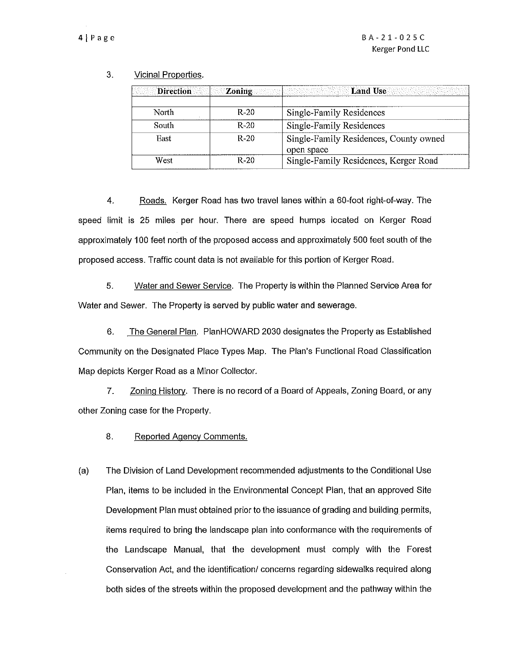#### $4 | P \nexists g \in$

## 3. Vicinai Properties.

| <b>Direction</b> | Zoning   | <b>Land Use</b><br>1980年 1980年                       |
|------------------|----------|------------------------------------------------------|
| North            | $R - 20$ | Single-Family Residences                             |
| South            | $R - 20$ | Single-Family Residences                             |
| East             | $R-20$   | Single-Family Residences, County owned<br>open space |
| West             | $R-20$   | Single-Family Residences, Kerger Road                |

4. Roads. Kerger Road has two travel lanes within a 60-foot right-of-way. The speed fimit is 25 miles per hour. There are speed humps located on Kerger Road approximately 100 feet north of the proposed access and approximately 500 feet south of the proposed access. Traffic count data is not available for this portion of Kerger Road.

5. Water and Sewer Service. The Property is within the Planned Service Area for Water and Sewer. The Property is served by public water and sewerage.

6. The General Plan. PlanHOWARD 2030 designates the Property as Established Community on the Designated Place Types Map. The Plan's Functional Road Classification Map depicts Kerger Road as a Minor Collector.

7. Zoning History. There is no record of a Board of Appeals, Zoning Board, or any other Zoning case for the Property.

8. Reported Aaency Comments.

(a) The Division of Land Development recommended adjustments to the Conditional Use Plan, items to be included in the Environmentai Concept Plan, that an approved Site Development Plan must obtained prior to the issuance of grading and building permits, items required to bring the landscape plan into conformance with the requirements of the Landscape Manual, that the development must comply with the Forest Conservation Act, and the identification/ concerns regarding sidewaiks required along both sides of the streets within the proposed development and the pathway within the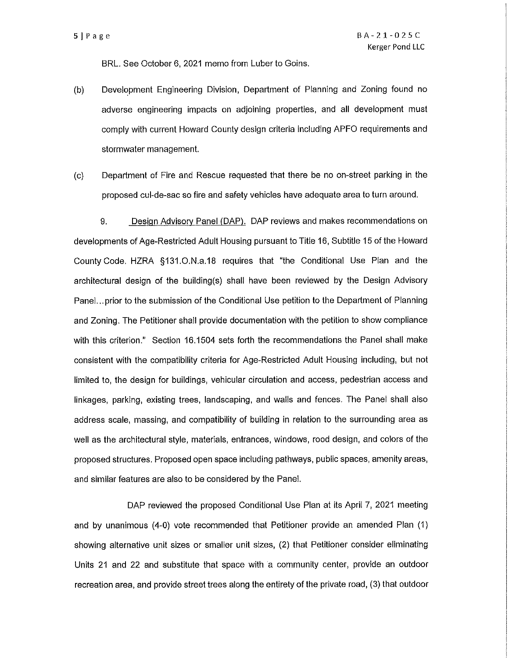BRL. See October 6, 2021 memo from Luber to Goins.

- (b) Development Engineering Division, Department of Planning and Zoning found no adverse engineering impacts on adjoining properties, and all development must comply with current Howard County design criteria including APFO requirements and stormwater management.
- (c) Department of Fire and Rescue requested that there be no on-street parking in the proposed cul-de-sac so fire and safety vehicles have adequate area to turn around.

9. Design Advisory Panel (DAP). DAP reviews and makes recommendations on developments of Age-Restricted Aduit Housing pursuant to Titie 16, Subtitle 15 of the Howard CountyCode. HZRA §131.0.N.a.18 requires that "the Conditional Use Plan and the architectural design of the building(s) shall have been reviewed by the Design Advisory Pane]...prior to the submission of the Conditional Use petition to the Department of Planning and Zoning. The Petitioner shall provide documentation with the petition to show compliance with this criterion." Section 16.1504 sets forth the recommendations the Panel shall make consistent with the compatibility criteria for Age-Restricted Adult Housing including, but not limited to, the design for buildings, vehicular circulation and access, pedestrian access and linkages, parking, existing trees, landscaping, and wails and fences. The Pane! shal! also address scale, massing, and compatibility of building in relation to the surrounding area as well as the architectural style, materials, entrances, windows, rood design, and colors of the proposed structures. Proposed open space including pathways, public spaces, amenity areas, and similar features are also to be considered by the Pane!.

DAP reviewed the proposed Conditional Use Plan at its April 7, 2021 meeting and by unanimous (4-0) vote recommended that Petitioner provide an amended Plan (1) showing alternative unit sizes or smaller unit sizes, (2) that Petitioner consider eliminating Units 21 and 22 and substitute that space with a community center, provide an outdoor recreation area, and provide street trees along the entirety of the private road, (3) that outdoor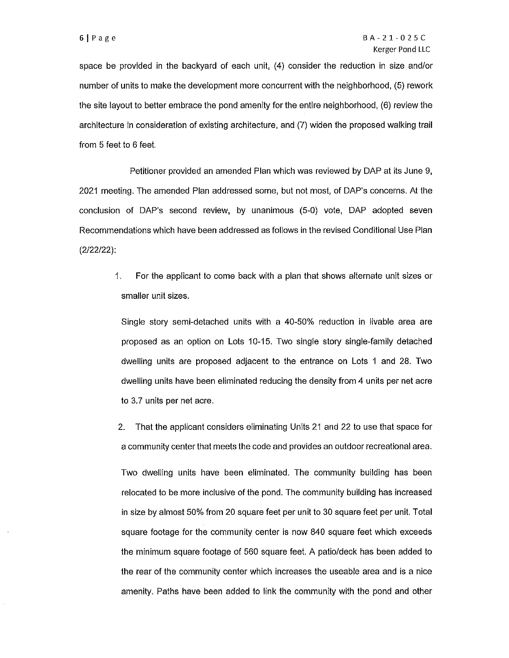space be provided in the backyard of each unit, (4) consider the reduction in size and/or number of units to make the development more concurrent with the neighborhood, (5) rework the site layout to better embrace the pond amenity for the entire neighborhood, (6) review the architecture in consideration of existing architecture, and (7) widen the proposed walking trail from 5 feet to 6 feet.

Petitioner provided an amended Plan which was reviewed by DAP at its June 9, 2021 meeting. The amended Plan addressed some, but not most, of DAP's concerns. At the conclusion of DAP's second review, by unanimous (5-0) vote, DAP adopted seven Recommendations which have been addressed as follows in the revised Conditional Use Plan (2/22/22);

1. For the applicant to come back with a plan that shows alternate unit sizes or smaller unit sizes.

Single story semi-detached units with a 40-50% reduction in livable area are proposed as an option on Lots 10-15. Two single story single-family detached dwelling units are proposed adjacent to the entrance on Lots 1 and 28. Two dwelling units have been eliminated reducing the density from 4 units per net acre to 3.7 units per net acre.

2. That the applicant considers eliminating Units 21 and 22 to use that space for a community center that meets the code and provides an outdoor recreational area.

Two dwelling units have been eliminated. The community building has been relocated to be more inclusive of the pond. The community building has increased in size by almost 50% from 20 square feet per unit to 30 square feet per unit. Total square footage for the community center is now 840 square feet which exceeds the minimum square footage of 560 square feet. A patio/deck has been added to the rear of the community center which increases the useable area and is a nice amenity. Paths have been added to link the community with the pond and other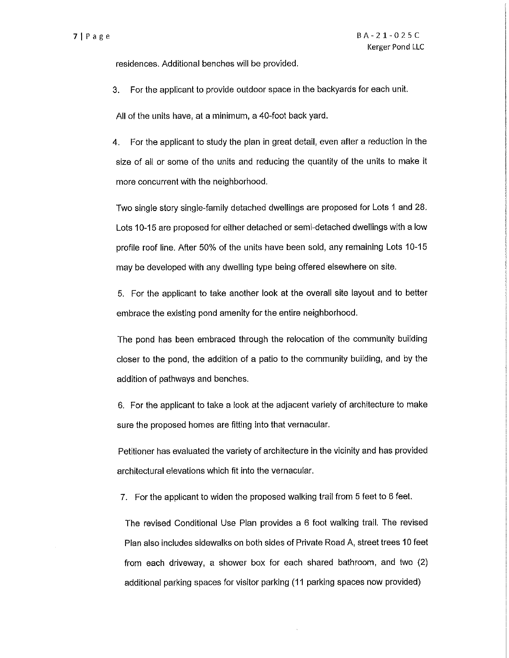residences. Additional benches will be provided.

3. For the applicant to provide outdoor space in the backyards for each unit.

All of the units have, at a minimum, a 40-foot back yard.

4. For the applicant to study the plan in great detail, even after a reduction in the size of ail or some of the units and reducing the quantity of the units to make it more concurrent with the neighborhood.

Two single story single-family detached dweilings are proposed for Lots 1 and 28, Lots 10-15 are proposed for either detached or semi-detached dwellings with a low profile roof line. After 50% of the units have been sold, any remaining Lots 10-15 may be developed with any dwelling type being offered elsewhere on site.

5. For the applicant to take another look at the overall site layout and to better embrace the existing pond amenity for the entire neighborhood.

The pond has been embraced through the relocation of the community building closer to the pond, the addition of a patio to the community buiiding, and by the addition of pathways and benches.

6. For the applicant to take a took at the adjacent variety of architecture to make sure the proposed homes are fitting into that vernacular.

Petitioner has evaluated the variety of architecture in the vicinity and has provided architectural elevations which fit into the vernacular.

7. For the applicant to widen the proposed walking trail from 5 feet to 6 feet.

The revised Conditional Use Plan provides a 6 foot walking trail. The revised Pian also includes sidewalks on both sides of Private Road A, street trees 10 feet from each driveway, a shower box for each shared bathroom, and two (2) additional parking spaces for visitor parking (11 parking spaces now provided)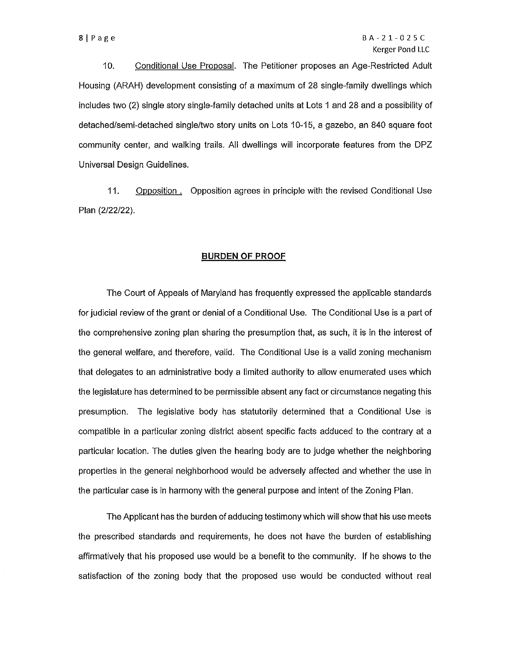10. Conditional Use Proposal. The Petitioner proposes an Age-Restricted Adult Housing (ARAH) development consisting of a maximum of 28 single-family dwellings which includes two (2) single story single-family detached units at Lots 1 and 28 and a possibility of detached/semi-detached single/two story units on Lots 10-15, a gazebo, an 840 square foot community center, and walking trails. All dwellings will incorporate features from the DPZ Universal Design Guidelines.

11. Opposition . Opposition agrees in principle with the revised Conditional Use Plan (2/22/22).

#### BURDEN OF PROOF

The Court of Appeals of Maryland has frequently expressed the applicable standards for judicial review of the grant or denial of a Conditiona! Use. The Conditional Use is a part of the comprehensive zoning plan sharing the presumption that, as such, it is in the interest of the general welfare, and therefore, valid. The Conditional Use is a valid zoning mechanism that delegates to an administrative body a limited authority to allow enumerated uses which the legislature has determined to be permissible absent any fact or circumstance negating this presumption. The legislative body has statutorily determined that a Conditional Use is compatible in a particular zoning district absent specific facts adduced to the contrary at a particular location. The duties given the hearing body are to judge whether the neighboring properties in the genera! neighborhood would be adversely affected and whether the use in the particular case is in harmony with the general purpose and intent of the Zoning Plan.

The Applicant has the burden of adducing testimony which wiil show that his use meets the prescribed standards and requirements, he does not have the burden of establishing affirmatively that his proposed use would be a benefit to the community. If he shows to the satisfaction of the zoning body that the proposed use would be conducted without rea!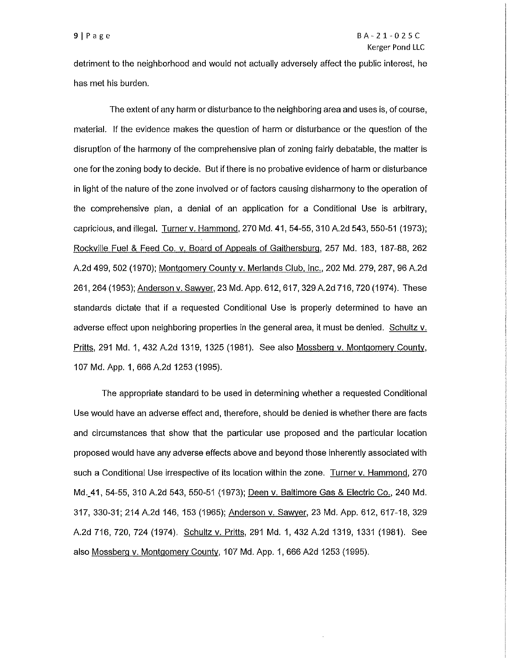# 9 | Page  $B A - 21 - 025C$ Kerger Pond LLC

detriment to the neighborhood and would not actually adversely affect the public interest, he has met his burden.

The extent of any harm or disturbance to the neighboring area and uses is, of course, material, if the evidence makes the question of harm or disturbance or the question of the disruption of the harmony of the comprehensive plan of zoning fairiy debatable, the matter is one for the zoning body to decide. But if there is no probative evidence of harm or disturbance in light of the nature of the zone involved or of factors causing disharmony to the operation of the comprehensive plan, a denial of an application for a Conditional Use is arbitrary, capricious, and ilfegal. Turner v. Hammond, 270 Md. 41, 54-55, 310 A.2d 543, 550-51 (1973); Rockville Fuel & Feed Co. v. Board of Appeals of Gaithersburg, 257 Md. 183, 187-88, 262 A.2d 499, 502 (1970); Montgomery County v. Merlands Club, Inc., 202 Md. 279, 287, 96 A.2d 261, 264 (1953); Anderson v. Sawyer, 23 Md. App. 612,617, 329 A.2d 716,720(1974). These standards dictate that if a requested Conditional Use is properly determined to have an adverse effect upon neighboring properties in the general area, it must be denied. Schultz v. Pritts, 291 Md. 1, 432 A.2d 1319, 1325 (1981). See also Mossberg v. Montgomery County, 107Md.App. 1, 666 A.2d 1253 (1995).

The appropriate standard to be used in determining whether a requested Conditional Use would have an adverse effect and, therefore, should be denied is whether there are facts and circumstances that show that the particular use proposed and the particular location proposed would have any adverse effects above and beyond those inherently associated with such a Conditional Use irrespective of its location within the zone. Turner v. Hammond, 270 Md.\_41, 54-55, 310 A.2d 543, 550-51 (1973); Deen v. Baltimore Gas & Electric Co., 240 Md. 317, 330-31; 214 A.2d 146, 153 (1965); Anderson v. Sawyer, 23 Md. App. 612, 617-18, 329 A.2d 716, 720, 724 (1974). Schuitz v. Pritts, 291 Md. 1, 432 A.2d 1319, 1331 (1981). See also Mossberg v. Montgomery County, 107 Md. App. 1, 666 A2d 1253 (1995).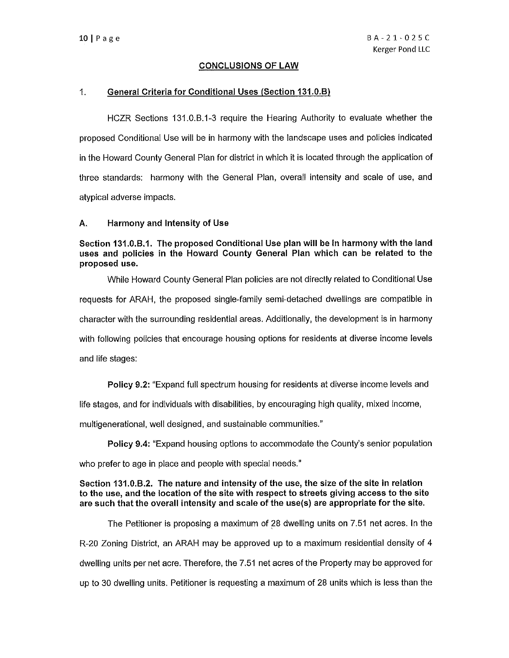### CONCLUSIONS OF LAW

#### 1. General Criteria for Conditional Uses [Section 131,0,B)

HCZR Sections 131.0.B.1-3 require the Hearing Authority to evaluate whether the proposed Conditional Use will be in harmony with the landscape uses and policies indicated in the Howard County General Plan for district in which it is located through the application of three standards: harmony with the General Plan, overali intensity and scale of use, and atypical adverse impacts.

#### A. Harmony and Intensity of Use

Section 131.0.B.1. The proposed Conditional Use plan will be in harmony with the land uses and policies in the Howard County General Plan which can be related to the proposed use.

While Howard County General Plan policies are not directly related to Conditional Use requests for ARAH, the proposed single-family semi-detached dwellings are compatible in character with the surrounding residential areas. Additionally, the development is in harmony with following policies that encourage housing options for residents at diverse income ievels and life stages:

Policy 9.2: "Expand full spectrum housing for residents at diverse income leveis and life stages, and for individuals with disabilities, by encouraging high quality, mixed income,

multigenerational, well designed, and sustainabie communities."

Policy 9.4: "Expand housing options to accommodate the County's senior population

who prefer to age in place and people with special needs."

## Section 131.0.B.2. The nature and intensity of the use, the size of the site in relation to the use, and the location of the site with respect to streets giving access to the site are such that the overall intensity and scale of the use(s) are appropriate for the site.

The Petitioner is proposing a maximum of 28 dwelling units on 7.51 net acres. In the R-20 Zoning District, an ARAH may be approved up to a maximum residential density of 4 dwelling units per net acre. Therefore, the 7.51 net acres of the Property may be approved for up to 30 dwelling units. Petitioner is requesting a maximum of 28 units which is less than the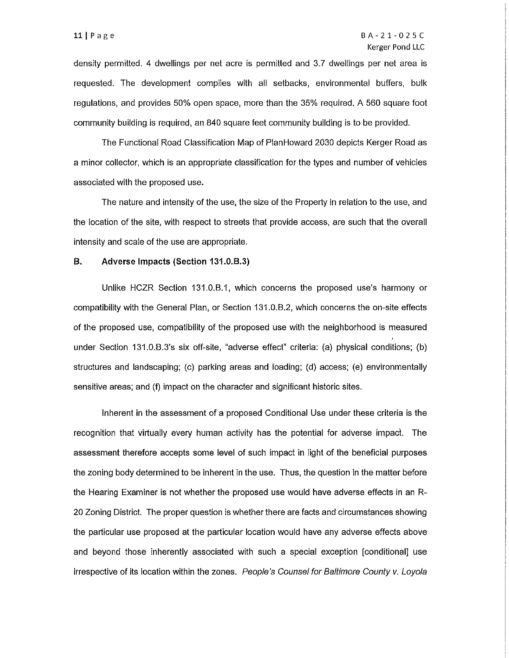density permitted. 4 dwellings per net acre is permitted and 3.7 dweiiings per net area is requested. The development complies with all setbacks, environmental buffers, bulk regulations, and provides 50% open space, more than the 35% required. A 560 square foot community building is required, an 840 square feet community building is to be provided.

The Functional Road Classification Map of PlanHoward 2030 depicts Kerger Road as a minor collector, which is an appropriate classification for the types and number of vehicles associated with the proposed use.

The nature and intensity of the use, the size of the Property in relation to the use, and the location of the site, with respect to streets that provide access, are such that the overail intensity and scale of the use are appropriate.

## B. Adverse Impacts (Section 131.0.B.3)

Unlike HCZR Section 131.0.B.1, which concerns the proposed use's harmony or compatibility with the General Plan, or Section 131.0.B.2, which concerns the on-site effects of the proposed use, compatibility of the proposed use with the neighborhood is measured / under Section 131.0.B.3's six off-site, "adverse effect" criteria: (a) physical conditions: (b) structures and landscaping; (c) parking areas and loading; (d) access; (e) environmentally sensitive areas; and (f) impact on the character and significant historic sites.

Inherent in the assessment of a proposed Conditional Use under these criteria is the recognition that virtually every human activity has the potential for adverse impact. The assessment therefore accepts some level of such impact in light of the beneficial purposes the zoning body determined to be inherent in the use. Thus, the question in the matter before the Hearing Examiner is not whether the proposed use would have adverse effects in an R-20 Zoning District. The proper question is whether there are facts and circumstances showing the particular use proposed at the particular location would have any adverse effects above and beyond those inherently associated with such a special exception [conditional] use irrespective of its location within the zones. People's Counsel for Baltimore County v. Loyola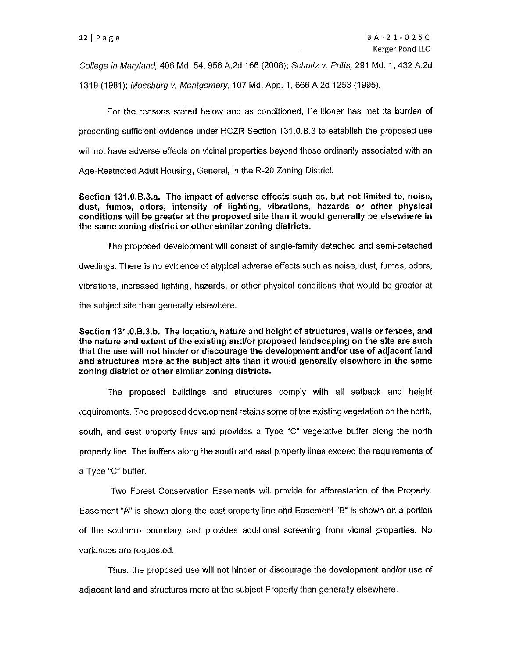College in Maryland, 406 Md. 54, 956 A.2d 166 (2008); Schultz v. Pritts, 291 Md. 1, 432 A.2d 1319 (1981); Mossburg v. Montgomery, 107 Md. App. 1, 666 A.2d 1253 (1995).

For the reasons stated below and as conditioned, Petitioner has met its burden of presenting sufficient evidence under HCZR Section 131.0.B.3 to establish the proposed use will not have adverse effects on vicinal properties beyond those ordinarily associated with an Age-Restricted Adult Housing, General, in the R-20 Zoning District.

Section 131.0.B.S.a. The impact of adverse effects such as, but not limited to, noise, dust, fumes, odors, intensity of lighting, vibrations, hazards or other physical conditions will be greater at the proposed site than it would generally be elsewhere in the same zoning district or other similar zoning districts.

The proposed development will consist of single-family detached and semi-detached dwellings. There is no evidence of atypica! adverse effects such as noise, dust, fumes, odors, vibrations, Increased lighting, hazards, or other physical conditions that would be greater at the subject site than generally elsewhere.

Section 131.0.B.3.b. The location, nature and height of structures, walls or fences, and the nature and extent of the existing and/or proposed landscaping on the site are such that the use will not hinder or discourage the development and/or use of adjacent land and structures more at the subject site than it would generally elsewhere in the same zoning district or other similar zoning districts.

The proposed buildings and structures comply with all setback and height requirements. The proposed development retains some of the existing vegetation on the north, south, and east property lines and provides a Type "C" vegetative buffer along the north property line. The buffers along the south and east property lines exceed the requirements of a Type "C" buffer.

Two Forest Conservation Easements will provide for afforestation of the Property. Easement "A" is shown along the east property line and Easement "B" is shown on a portion of the southern boundary and provides additional screening from vicinal properties. No variances are requested.

Thus, the proposed use will not hinder or discourage the development and/or use of adjacent land and structures more at the subject Property than generally elsewhere.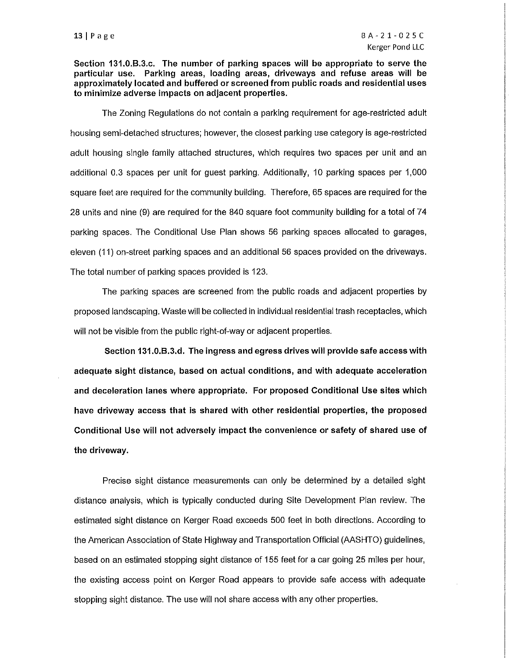## Section 131.0.B.3.C. The number of parking spaces will be appropriate to serve the particular use. Parking areas, loading areas, driveways and refuse areas will be approximately located and buffered or screened from public roads and residential uses to minimize adverse impacts on adjacent properties.

The Zoning Reguiations do not contain a parking requirement for age-restricted adult housing semi-detached structures; however, the closest parking use category is age-restricted adult housing single family attached structures, which requires two spaces per unit and an additional 0.3 spaces per unit for guest parking. Additionally, 10 parking spaces per 1,000 square feet are required for the community building. Therefore, 65 spaces are required for the 28 units and nine (9) are required for the 840 square foot community building for a total of 74 parking spaces. The Conditionai Use Pian shows 56 parking spaces allocated to garages, eleven (11) on-street parking spaces and an additional 56 spaces provided on the driveways. The total number of parking spaces provided is 123.

The parking spaces are screened from the pubiic roads and adjacent properties by proposed landscaping. Waste will be collected in individual residential trash receptacles, which will not be visible from the public right-of-way or adjacent properties.

Section 131.0.B.3.d. The ingress and egress drives will provide safe access with adequate sight distance, based on actual conditions, and with adequate acceleration and deceleration lanes where appropriate. For proposed Conditional Use sites which have driveway access that is shared with other residential properties, the proposed Conditional Use will not adversely impact the convenience or safety of shared use of the driveway.

Precise sight distance measurements can only be determined by a detailed sight distance analysis, which is typically conducted during Site Development Plan review. The estimated sight distance on Kerger Road exceeds 500 feet in both directions. According to the American Association of State Highway and Transportation Official (AASHTO) guidelines, based on an estimated stopping sight distance of 155 feet for a car going 25 miles per hour, the existing access point on Kerger Road appears to provide safe access with adequate stopping sight distance. The use will not share access with any other properties.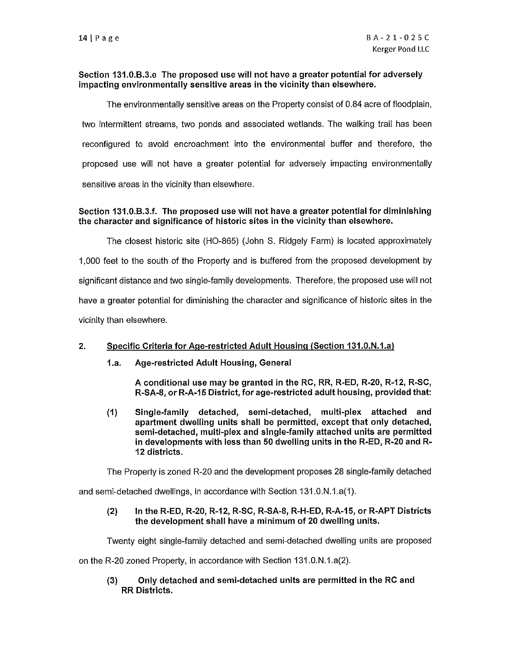## Section 131.0.B.3.e The proposed use will not have a greater potential for adversely impacting environmentally sensitive areas in the vicinity than elsewhere.

The environmentally sensitive areas on the Property consist of 0.84 acre of floodplain, two intermittent streams, two ponds and associated wetlands. The walking trail has been reconfigured to avoid encroachment into the environmental buffer and therefore, the proposed use will not have a greater potential for adversely impacting environmentaliy sensitive areas in the vicinity than elsewhere.

# Section 131.0.B,3.f. The proposed use will not have a greater potential for diminishing the character and significance of historic sites in the vicinity than elsewhere.

The closest historic site (HO-865) (John S. Ridgely Farm) is located approximately 1,000 feet to the south of the Property and is buffered from the proposed development by significant distance and two singie-famiiy developments. Therefore, the proposed use will not have a greater potential for diminishing the character and significance of historic sites in the vicinity than elsewhere.

# 2. Specific Criteria for Age-restricted Adult Housing (Section 131.0.N.1.a)

## 1.a. Age-restricted Adult Housing, General

A conditional use may be granted in the RC, RR, R-ED, R-20, R-12, R-SC, R-SA-8, or R-A-15 District, for age-restricted adult housing, provided that:

(1) Single-family detached, semi-detached, multi-plex attached and apartment dwelling units shall be permitted, except that only detached, semi-detached, multi-plex and single-family attached units are permitted in developments with less than 50 dwelling units in the R-ED, R-20 and R-12 districts.

The Property is zoned R-20 and the development proposes 28 smgle-family detached

and semi-detached dwellings, in accordance with Section 131.0.N.1.a(1).

(2) In the R-ED, R-20, R-12, R-SC, R-SA-8, R-H-ED, R-A-15, or R-APT Districts the development shall have a minimum of 20 dwelling units.

Twenty eight singie-family detached and semi-detached dwelling units are proposed

on the R-20 zoned Property, in accordance with Section 131.0.N.1.a(2).

(3) Only detached and semi-detached units are permitted in the RC and RR Districts.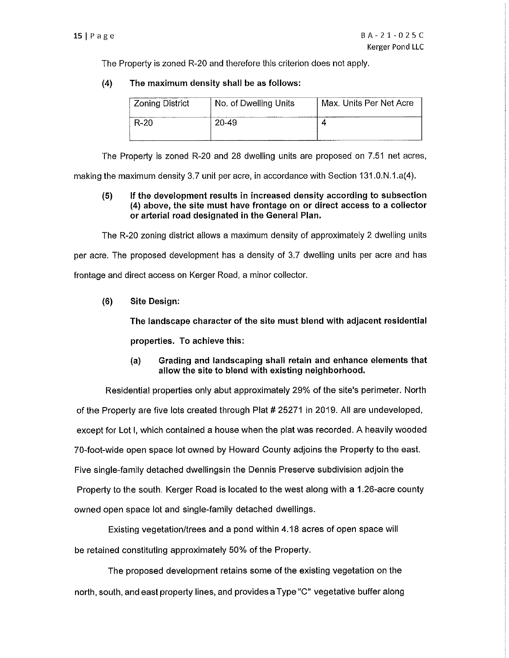The Property is zoned R-20 and therefore this criterion does not apply.

# (4) The maximum density shall be as follows:

| <sup>1</sup> Zoning District | No. of Dwelling Units | Max. Units Per Net Acre<br>---------- |
|------------------------------|-----------------------|---------------------------------------|
| $R - 20$                     | 20-49                 | ------------------------------        |

The Property is zoned R-20 and 28 dwelling units are proposed on 7,51 net acres,

making the maximum density 3.7 unit per acre, in accordance with Section 131.0.N.1.a(4).

# (5) If the development results in increased density according to subsection (4) above, the site must have frontage on or direct access to a collector or arterial road designated in the General Plan.

The R-20 zoning district aiiows a maximum density of approximately 2 dwelling units

per acre. The proposed deveiopment has a density of 37 dwelling units per acre and has frontage and direct access on Kerger Road, a minor collector.

# (6) Site Design:

The landscape character of the site must blend with adjacent residential properties. To achieve this:

(a) Grading and landscaping shall retain and enhance elements that allow the site to blend with existing neighborhood.

Residential properties only abut approximately 29% of the site's perimeter. North of the Property are five lots created through Plat # 25271 in 2019. All are undeveloped, except for Lot I, which contained a house when the plat was recorded. A heavily wooded 70-foot-wide open space lot owned by Howard County adjoins the Property to the east. Five single-family detached dwellingsin the Dennis Preserve subdivision adjoin the Property to the south. Kerger Road is located to the west along with a 1.26-acre county owned open space lot and single-famlly detached dwellings.

Existing vegetation/trees and a pond within 4.18 acres of open space will

be retained constituting approximately 50% of the Property.

The proposed development retains some of the existing vegetation on the

north, south, and east property lines, and provides a Type "C" vegetative buffer along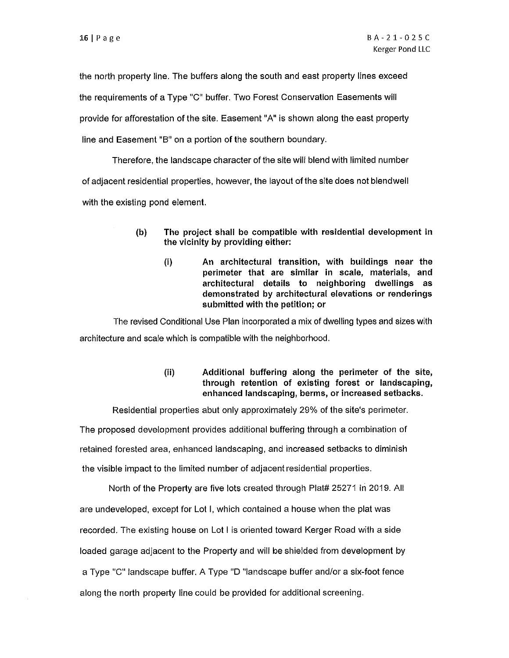the north property line. The buffers along the south and east property lines exceed the requirements of a Type "C" buffer. Two Forest Conservation Easements will provide for afforestation of the site. Easement "A" is shown along the east property line and Easement "B" on a portion of the southern boundary.

Therefore, the landscape character of the site will blend with limited number of adjacent residential properties, however, the layout of the site does not biendwel! with the existing pond element.

- (b) The project shall be compatible with residential development in the vicinity by providing either:
	- (i) An architectural transition, with buildings near the perimeter that are similar in scale, materials, and architectural details to neighboring dwellings as demonstrated by architectural elevations or renderings submitted with the petition; or

The revised Conditional Use Plan incorporated a mix of dwelling types and sizes with architecture and scale which is compatible with the neighborhood.

> (ii) Additional buffering along the perimeter of the site, through retention of existing forest or landscaping, enhanced landscaping, berms, or increased setbacks.

Residential properties abut only approximately 29% of the site's perimeter.

The proposed development provides additional buffering through a combination of retained forested area, enhanced landscaping, and increased setbacks to diminish

the visible impact to the limited number of adjacent residential properties.

North of the Property are five lots created through Plat# 25271 in 2019. All are undeveloped, except for Lot I, which contained a house when the plat was recorded. The existing house on Lot! is oriented toward Kerger Road with a side loaded garage adjacent to the Property and will be shielded from deveiopmenl by a Type "C" landscape buffer. A Type "D "landscape buffer and/or a six-foot fence along the north property line could be provided for additional screening.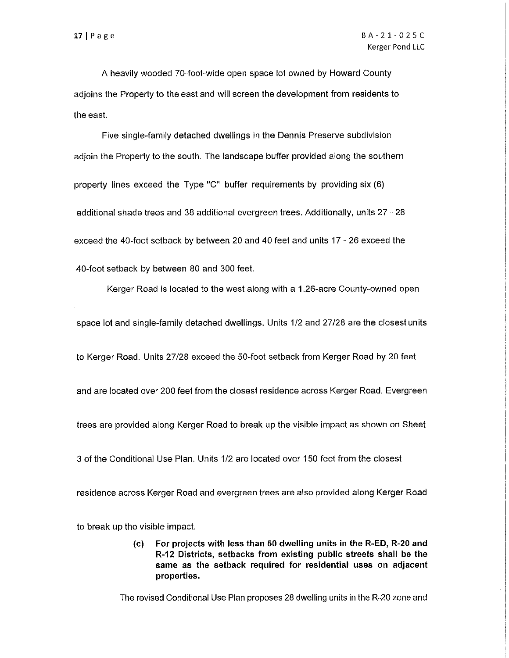A heavily wooded 70-foot-wide open space lot owned by Howard County adjoins the Property to the east and will screen the development from residents to the east.

Five single-famiiy detached dwellings in the Dennis Preserve subdivision adjoin the Properly to the south. The landscape buffer provided along the southern property lines exceed the Type "C" buffer requirements by providing six (6) additional shade trees and 38 additionai evergreen trees. Additionally, units 27 - 28 exceed the 40-foot setback by between 20 and 40 feet and units 17-26 exceed the 40-foot setback by between 80 and 300 feet.

Kerger Road is located to the west along with a 1.26-acre County-owned open

space lot and single-family detached dwellings. Units 1/2 and 27/28 are the closest units

to Kerger Road. Units 27/28 exceed the 50-foot setback from Kerger Road by 20 feet

and are located over 200 feet from the closest residence across Kerger Road. Evergreen

trees are provided along Kerger Road to break up the visible impact as shown on Sheet

3 of the Conditional Use Plan. Units 1/2 are located over 150 feet from the closest

residence across Kerger Road and evergreen trees are also provided along Kerger Road

to break up the visible impact.

(c) For projects with less than 50 dwelling units in the R-ED, R-20 and R-12 Districts, setbacks from existing public streets shall be the same as the setback required for residential uses on adjacent properties.

The revised Conditional Use Plan proposes 28 dwelling units in the R-20 zone and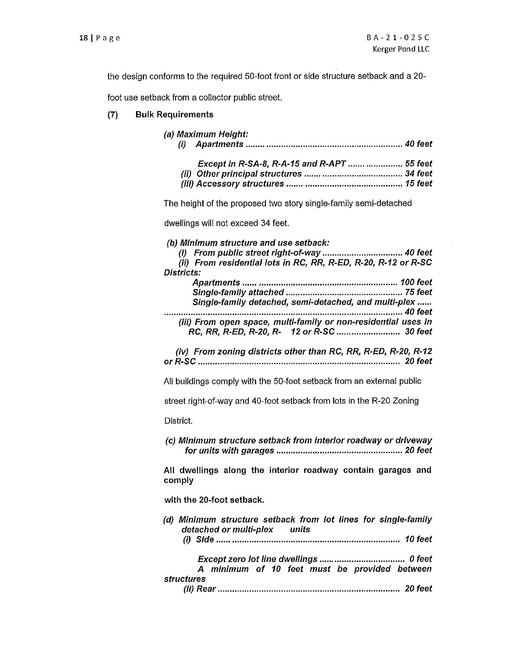$\hat{\mathcal{L}}$ 

the design conforms to the required 50-foot front or side structure setback and a 20-

foot use setback from a coilector public street,

# (7) Bulk Requirements

|            | (a) Maximum Height:                                                                                      |
|------------|----------------------------------------------------------------------------------------------------------|
|            |                                                                                                          |
|            | Except in R-SA-8, R-A-15 and R-APT   55 feet                                                             |
|            | The height of the proposed two story single-family semi-detached                                         |
|            | dwellings will not exceed 34 feet.                                                                       |
| Districts: | (b) Minimum structure and use setback:<br>(ii) From residential lots in RC, RR, R-ED, R-20, R-12 or R-SC |
|            | Single-family detached, semi-detached, and multi-plex                                                    |
|            | (iii) From open space, multi-family or non-residential uses in                                           |
|            | (iv) From zoning districts other than RC, RR, R-ED, R-20, R-12                                           |
|            |                                                                                                          |
|            | All buildings comply with the 50-foot setback from an external public                                    |
|            | street right-of-way and 40-foot setback from lots in the R-20 Zoning                                     |
| District.  |                                                                                                          |
|            | (c) Minimum structure setback from interior roadway or driveway                                          |
| comply     | All dwellings along the interior roadway contain garages and                                             |
|            | with the 20-foot setback.                                                                                |
|            | (d) Minimum structure setback from lot lines for single-family<br>detached or multi-plex units           |
|            |                                                                                                          |
|            | A minimum of 10 feet must be provided between                                                            |
| structures |                                                                                                          |
|            |                                                                                                          |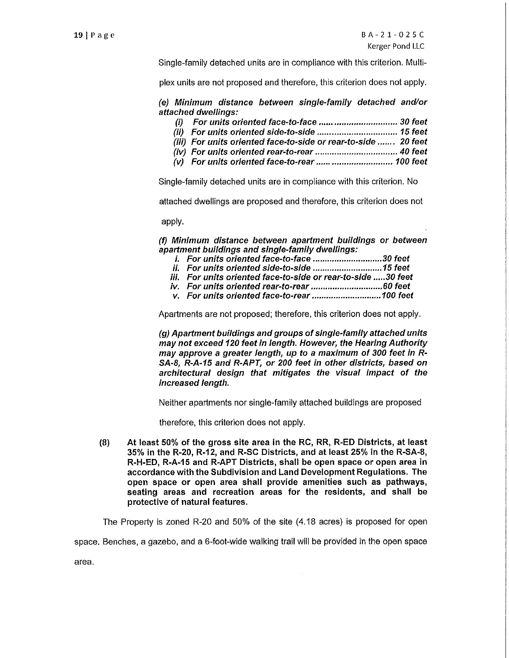Single-family detached units are in compliance with this criterion. Muiti-

plex units are not proposed and therefore, this criterion does not apply.

(e) Minimum distance between single-family detached and/or attached dwellings:

- (i) For units oriented face'to-face ................................ 30 feet
- (ii) For units oriented side-to-side................................. 15 feet
- (iii) For units oriented face-to-side or rear-to-side ....... 20 feet
- (iv) For units oriented rear-to-rear .................................. 40 feet (v) For units oriented face-to-rear ............................... 100 feet
- 

Singie-family detached units are in compliance with this criterion. No

attached dwellings are proposed and therefore, this criterion does not

apply.

(f) Minimum distance between apartment buildings or between apartment buildings and single-family dwellings:

- /. For units oriented face-to-face .............................30 feet
- ii. For units oriented side-to-side ................................15 feet
- iii. For units oriented face-to-side or rear-to-side .....30 feet
- iv. For units oriented rear'to-rear ..............................GO feet
- v. For units oriented face-to-rear .............................100 feet

Apartments are not proposed; therefore, this criterion does not apply.

(g) Apartment buildings and groups of single-family attached units may not exceed 120 feet in length. However, the Hearing Authority may approve a greater length, up to a maximum of 300 feet in R-SA-8, R-A-15 and R-APT, or 200 feet in other districts, based on architectural design that mitigates the visual impact of the increased length.

Neither apartments nor single-family attached buildings are proposed

therefore, this criterion does not appiy.

(8) At least 50% of the gross site area in the RC, RR, R-ED Districts, at least 35% in the R-20, R-12, and R-SC Districts, and at least 25% in the R-SA-8, R-H-ED, R-A-15 and R-APT Districts, shall be open space or open area in accordance with the Subdivision and Land Development Regulations. The open space or open area shall provide amenities such as pathways, seating areas and recreation areas for the residents, and shall be protective of natural features.

The Property is zoned R-20 and 50% of the site (4.18 acres) is proposed for open

space. Benches, a gazebo, and a 6-foot-wide walking trail will be provided in the open space

area.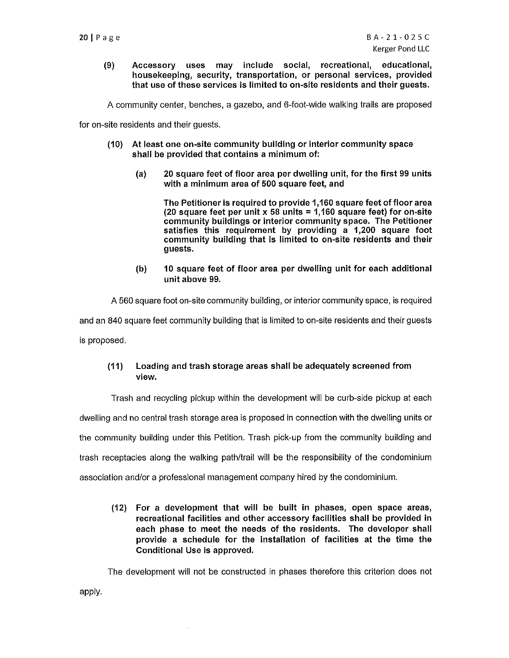(9) Accessory uses may include social, recreational, educational, housekeeping, security, transportation, or personal services, provided that use of these services is limited to on-site residents and their guests.

A community center, benches, a gazebo, and 6-foot-wide walking trails are proposed

for on-site residents and their guests.

- (10) At least one on-site community building or interior community space shall be provided that contains a minimum of:
	- (a) 20 square feet of floor area per dwelling unit, for the first 99 units with a minimum area of 500 square feet, and

The Petitioner is required to provide 1,160 square feet of floor area (20 square feet per unit x 58 units  $= 1,160$  square feet) for on-site community buildings or interior community space. The Petitioner satisfies this requirement by providing a 1,200 square foot community building that is limited to on-site residents and their guests,

(b) 10 square feet of floor area per dwelling unit for each additional unit above 99.

A 560 square foot on-site community building, or interior community space, is required

and an 840 square feet community building that is limited to on-site residents and their guests is proposed.

# (11) Loading and trash storage areas shall be adequately screened from view.

Trash and recycling pickup within the development will be curb-side pickup at each dwelling and no central trash storage area is proposed in connection with the dwelling units or the community building under this Petition. Trash pick-up from the community building and trash receptacles along the walking path/traii will be the responsibility of the condominium association and/or a professional management company hired by the condominium.

(12) For a development that will be built in phases, open space areas, recreational facilities and other accessory facilities shall be provided in each phase to meet the needs of the residents. The developer shall provide a schedule for the installation of facilities at the time the Conditional Use is approved.

The development will not be constructed in phases therefore this criterion does not apply.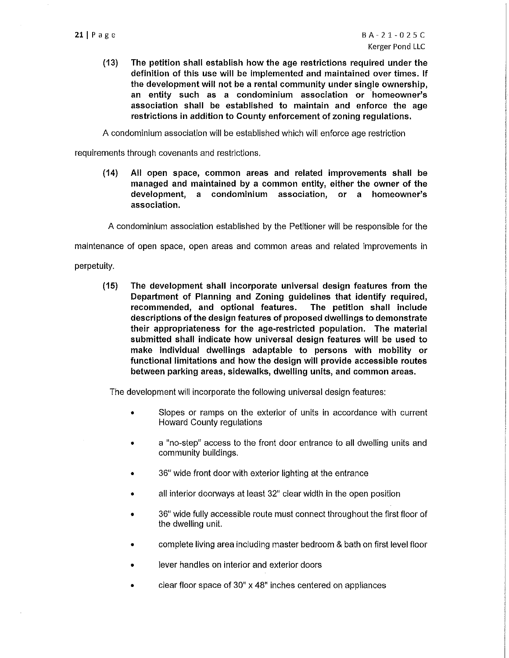(13) The petition shall establish how the age restrictions required under the definition of this use will be implemented and maintained over times. If the development will not be a rental community under single ownership, an entity such as a condominium association or homeowner's association shall be established to maintain and enforce the age restrictions in addition to County enforcement of zoning regulations.

A condominium association will be established which will enforce age restriction

requirements through covenants and restrictions,

(14) Ati open space, common areas and related improvements shall be managed and maintained by a common entity, either the owner of the development, a condominium association, or a homeowner's association.

A condominium association established by the Petitioner will be responsible for the

maintenance of open space, open areas and common areas and related improvements in

perpetuity.

(15) The development shall incorporate universal design features from the Department of Planning and Zoning guidelines that identify required, recommended, and optional features. The petition shall include descriptions of the design features of proposed dwellings to demonstrate their appropriateness for the age-restricted population. The material submitted shall indicate how universal design features will be used to make individual dwellings adaptable to persons with mobility or functional limitations and how the design will provide accessible routes between parking areas, sidewalks, dwelling units, and common areas.

The development will incorporate the following universal design features:

- Slopes or ramps on the exterior of units in accordance with current Howard County regulations
- a "no-step" access to the front door entrance to ail dwelling units and community buildings.
- 36" wide front door with exterior lighting at the entrance
- all interior doorways at least 32" dear width in the open position
- 36" wide fully accessibie route must connect throughout the first floor of the dwelling unit.
- complete living area including master bedroom & bath on first level floor
- lever handles on interior and exterior doors
- clear floor space of 30" x 48" inches centered on appliances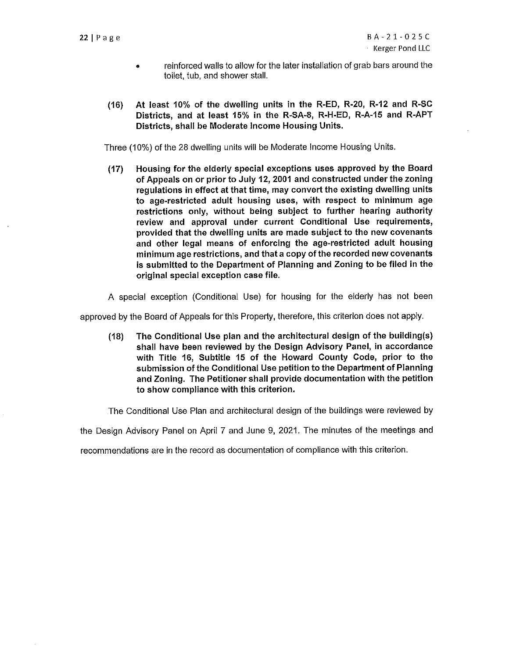- reinforced walls to allow for the later installation of grab bars around the toiiet, tub, and shower stall.
- (16) At least 10% of the dwelling units in the R-ED, R-20, R-12 and R-SC Districts, and at least 15% in the R-SA-8, R-H-ED, R-A-15 and R-APT Districts, shall be Moderate Income Housing Units.

Three (10%) of the 28 dwelling units wiii be Moderate income Housing Units.

(17) Housing for the elderly special exceptions uses approved by the Board of Appeals on or prior to July 12, 2001 and constructed under the zoning regulations in effect at that time, may convert the existing dwelling units to age-restricted adult housing uses, with respect to minimum age restrictions only, without being subject to further hearing authority review and approval under current Conditional Use requirements, provided that the dwelling units are made subject to the new covenants and other legal means of enforcing the age-restricted adult housing minimum age restrictions, and that a copy of the recorded new covenants is submitted to the Department of Planning and Zoning to be filed in the original special exception case file.

A special exception (Conditional Use) for housing for the elderly has not been

approved by the Board of Appeals for this Property, therefore, this criterion does not apply.

(18) The Conditional Use plan and the architectural design of the building(s) shall have been reviewed by the Design Advisory Panel, in accordance with Title 16, Subtitle 15 of the Howard County Code, prior to the submission of the Conditional Use petition to the Department of Planning and Zoning. The Petitioner shall provide documentation with the petition to show compliance with this criterion.

The Conditional Use Plan and architectural design of the buildings were reviewed by

the Design Advisory Panel on April 7 and June 9, 2021. The minutes of the meetings and

recommendations are in the record as documentation of compliance with this criterion.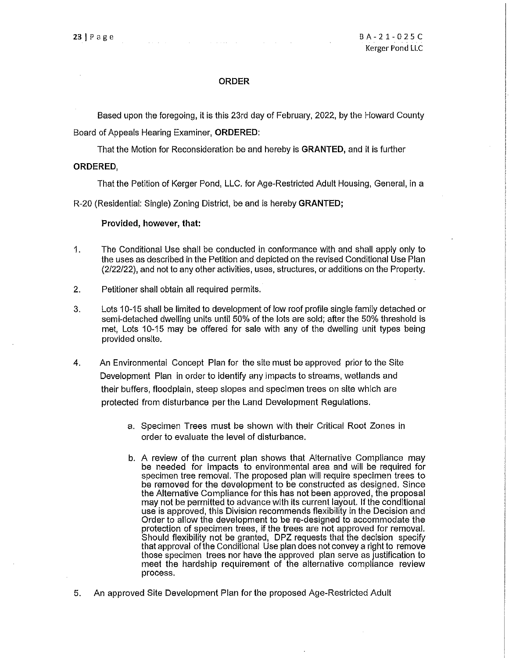### ORDER

Based upon the foregoing, it is this 23rd day of February, 2022, by the Howard County

Board of Appeals Hearing Examiner, ORDERED:

That the Motion for Reconsideration be and hereby is GRANTED, and it is further

#### ORDERED,

That the Petition of Kerger Pond, LLC. for Age-Restricted Adult Housing, General, in a

R-20 (Residential: Single) Zoning District, be and is hereby GRANTED;

## Provided, however, that:

- 1. The Conditional Use shall be conducted in confomnance with and shall apply only to the uses as described in the Petition and depicted on the revised Conditional Use Plan (2/22/22), and not to any other activities, uses, structures, or additions on the Property.
- 2. Petitioner shall obtain all required permits.
- 3. Lots 10-15 shall be iimited to development of low roof profile single family detached or semi-detached dweiling units until 50% of the lots are sold; after the 50% threshold is met, Lots 10-15 may be offered for sale with any of the dweiiing unit types being provided onsite.
- 4. An Envlronmenlai Concept Plan for the site must be approved prior to the Site Development Plan in order to identify any impacts to streams, wetlands and their buffers, floodplain, steep slopes and specimen trees on site which are protected from disturbance per the Land Development Regulations.
	- a. Specimen Trees must be shown with their Critical Root Zones in order to evaluate the level of disturbance.
	- b. A review of the current plan shows that Alternative Compliance may be needed for impacts to environmental area and will be required for specimen tree removal. The proposed plan will require specimen trees to be removed for the development to be constructed as designed. Since the Alternative Compliance for this has not been approved, the proposal may not be permitted to advance with its current layout. If the conditional use is approved, this Division recommends flexibility in the Decision and Order to allow the development to be re-designed to accommodate the protection of specimen trees, If the trees are not approved for removal. Should flexibility not be granted, DPZ requests that the decision specify that approval of the Conditional Use plan does not convey a right to remove those specimen trees nor have the approved plan serve as justification to meet the hardship requirement of the alternative compiiance review process.
- 5. An approved Site Development Pian for the proposed Age-Restricted Adult